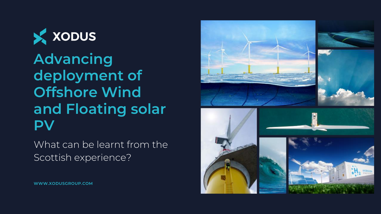

**Advancing deployment of Offshore Wind and Floating solar PV**

What can be learnt from the Scottish experience?



**WWW.XODUSGROUP.COM**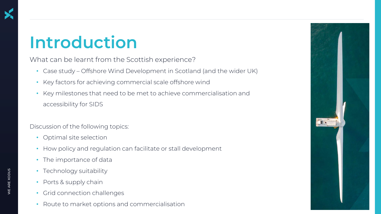## **Introduction**

What can be learnt from the Scottish experience?

- Case study Offshore Wind Development in Scotland (and the wider UK)
- Key factors for achieving commercial scale offshore wind
- Key milestones that need to be met to achieve commercialisation and accessibility for SIDS

Discussion of the following topics:

- Optimal site selection
- How policy and regulation can facilitate or stall development
- The importance of data
- Technology suitability
- Ports & supply chain
- Grid connection challenges
- Route to market options and commercialisation

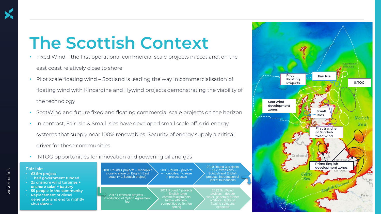#### **The Scottish Context**

- Fixed Wind the first operational commercial scale projects in Scotland, on the east coast relatively close to shore
- Pilot scale floating wind Scotland is leading the way in commercialisation of floating wind with Kincardine and Hywind projects demonstrating the viability of the technology
- ScotWind and future fixed and floating commercial scale projects on the horizon
- In contrast, Fair Isle & Small Isles have developed small scale off-grid energy systems that supply near 100% renewables. Security of energy supply a critical driver for these communities
- INTOG opportunities for innovation and powering oil and gas

#### **Fair Isle**

- **£3.5m project**
- **~ half government funded**
- **2x onshore wind turbines + onshore solar + battery**
- **55 people in the community**
- **Replacement of diesel generator and end to nightly shut downs**

2001 Round 1 projects – monopiles close to shore on English East coast (+ 1 Scottish project) 2003 Round 2 projects – monopiles, increase in project scale

– English large

setting

2017 Extension projects – introduction of Option Agreement fee 2021 Round 4 projects commercial projects further offshore, competitive option fee

jacket foundations 2022 ScotWind offshore. Jacket &

2010 Round 3 projects + 1&2 extensions – Scottish and English projects, introduction of

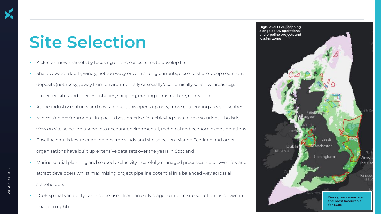## **Site Selection**

- Kick-start new markets by focusing on the easiest sites to develop first
- Shallow water depth, windy, not too wavy or with strong currents, close to shore, deep sediment deposits (not rocky), away from environmentally or socially/economically sensitive areas (e.g. protected sites and species, fisheries, shipping, existing infrastructure, recreation)
- As the industry matures and costs reduce, this opens up new, more challenging areas of seabed
- Minimising environmental impact is best practice for achieving sustainable solutions holistic view on site selection taking into account environmental, technical and economic considerations
- Baseline data is key to enabling desktop study and site selection. Marine Scotland and other organisations have built up extensive data sets over the years in Scotland
- Marine spatial planning and seabed exclusivity carefully managed processes help lower risk and attract developers whilst maximising project pipeline potential in a balanced way across all stakeholders
	- LCoE spatial variability can also be used from an early stage to inform site selection (as shown in image to right)

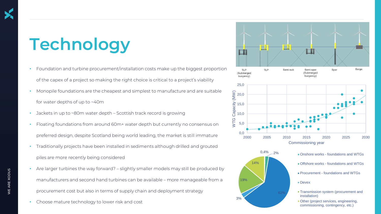# **Technology**

- Foundation and turbine procurement/installation costs make up the biggest proportion of the capex of a project so making the right choice is critical to a project's viability
- Monopile foundations are the cheapest and simplest to manufacture and are suitable for water depths of up to ~40m
- Jackets in up to ~80m water depth Scottish track record is growing
- Floating foundations from around 60m+ water depth but currently no consensus on preferred design, despite Scotland being world leading, the market is still immature
- Traditionally projects have been installed in sediments although drilled and grouted piles are more recently being considered
- Are larger turbines the way forward? slightly smaller models may still be produced by manufacturers and second hand turbines can be available – more manageable from a procurement cost but also in terms of supply chain and deployment strategy
- Choose mature technology to lower risk and cost

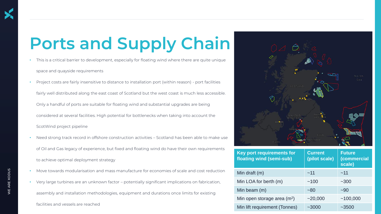# **Ports and Supply Chain**

- This is a critical barrier to development, especially for floating wind where there are quite unique space and quayside requirements
- Project costs are fairly insensitive to distance to installation port (within reason) port facilities fairly well distributed along the east coast of Scotland but the west coast is much less accessible. Only a handful of ports are suitable for floating wind and substantial upgrades are being considered at several facilities. High potential for bottlenecks when taking into account the ScotWind project pipeline
- Need strong track record in offshore construction activities Scotland has been able to make use of Oil and Gas legacy of experience, but fixed and floating wind do have their own requirements to achieve optimal deployment strategy
- Move towards modularisation and mass manufacture for economies of scale and cost reduction
- Very large turbines are an unknown factor potentially significant implications on fabrication,
- assembly and installation methodologies, equipment and durations once limits for existing



| floating wind (semi-sub)      | (pilot scale) | (commercial<br>scale) |
|-------------------------------|---------------|-----------------------|
| Min draft (m)                 | ~11           | ~11                   |
| Min LOA for berth (m)         | ~100          | ~1200                 |
| Min beam (m)                  | ~180          | $-90$                 |
| Min open storage area $(m^2)$ | ~20,000       | ~100,000              |
| Min lift requirement (Tonnes) | $~1$ $~3000$  | $-3500$               |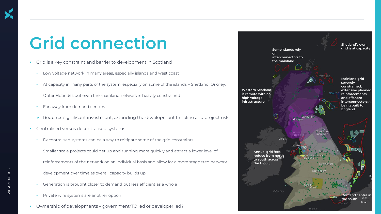# **Grid connection**

- Grid is a key constraint and barrier to development in Scotland
	- Low voltage network in many areas, especially islands and west coast
	- At capacity in many parts of the system, especially on some of the islands Shetland, Orkney,

Outer Hebrides but even the mainland network is heavily constrained

- Far away from demand centres
- ➢ Requires significant investment, extending the development timeline and project risk
- Centralised versus decentralised systems
	- Decentralised systems can be a way to mitigate some of the grid constraints
	- Smaller scale projects could get up and running more quickly and attract a lower level of
		- reinforcements of the network on an individual basis and allow for a more staggered network
		- development over time as overall capacity builds up
	- Generation is brought closer to demand but less efficient as a whole
	- Private wire systems are another option
- Ownership of developments government/TO led or developer led?

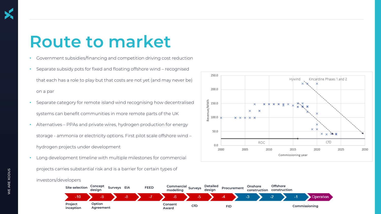#### **Route to market**

- Government subsidies/financing and competition driving cost reduction
- Separate subsidy pots for fixed and floating offshore wind recognised that each has a role to play but that costs are not yet (and may never be) on a par
- Separate category for remote island wind recognising how decentralised systems can benefit communities in more remote parts of the UK
- Alternatives PPAs and private wires, hydrogen production for energy storage - ammonia or electricity options. First pilot scale offshore wind – hydrogen projects under development
- Long development timeline with multiple milestones for commercial

projects carries substantial risk and is a barrier for certain types of





WE ARE XODUS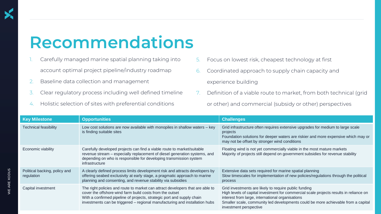#### **Recommendations**

- Carefully managed marine spatial planning taking into account optimal project pipeline/industry roadmap
- 2. Baseline data collection and management
- Clear regulatory process including well defined timeline
- 4. Holistic selection of sites with preferential conditions
- 5. Focus on lowest risk, cheapest technology at first
- 6. Coordinated approach to supply chain capacity and experience building
- 7. Definition of a viable route to market, from both technical (grid or other) and commercial (subsidy or other) perspectives

| <b>Key Milestone</b>                        | <b>Opportunities</b>                                                                                                                                                                                                                                                                                | <b>Challenges</b>                                                                                                                                                                                                                                                                                                  |
|---------------------------------------------|-----------------------------------------------------------------------------------------------------------------------------------------------------------------------------------------------------------------------------------------------------------------------------------------------------|--------------------------------------------------------------------------------------------------------------------------------------------------------------------------------------------------------------------------------------------------------------------------------------------------------------------|
| <b>Technical feasibility</b>                | Low cost solutions are now available with monopiles in shallow waters – key<br>is finding suitable sites                                                                                                                                                                                            | Grid infrastructure often requires extensive upgrades for medium to large scale<br>projects<br>Foundation solutions for deeper waters are riskier and more expensive which may or<br>may not be offset by stronger wind conditions                                                                                 |
| Economic viability                          | Carefully developed projects can find a viable route to market/suitable<br>revenue stream - especially replacement of diesel generation systems, and<br>depending on who is responsible for developing transmission system<br>infrastructure                                                        | Floating wind is not yet commercially viable in the most mature markets<br>Majority of projects still depend on government subsidies for revenue stability                                                                                                                                                         |
| Political backing, policy and<br>regulation | A clearly defined process limits development risk and attracts developers by<br>offering seabed exclusivity at early stage, a pragmatic approach to marine<br>planning and consenting, and revenue stability via subsidies                                                                          | Extensive data sets required for marine spatial planning<br>Slow timescales for implementation of new policies/regulations through the political<br>process                                                                                                                                                        |
| Capital investment                          | The right policies and route to market can attract developers that are able to<br>cover the offshore wind farm build costs from the outset<br>With a confirmed pipeline of projects, strategic port and supply chain<br>investments can be triggered - regional manufacturing and installation hubs | Grid investments are likely to require public funding<br>High levels of capital investment for commercial scale projects results in reliance on<br>interest from large, international organisations<br>Smaller scale, community led developments could be more achievable from a capital<br>investment perspective |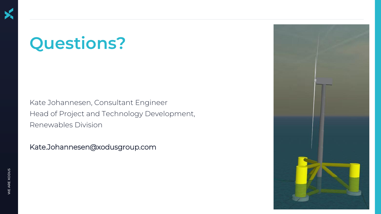#### **Questions?**

Kate Johannesen, Consultant Engineer Head of Project and Technology Development, Renewables Division

Kate.Johannesen@xodusgroup.com